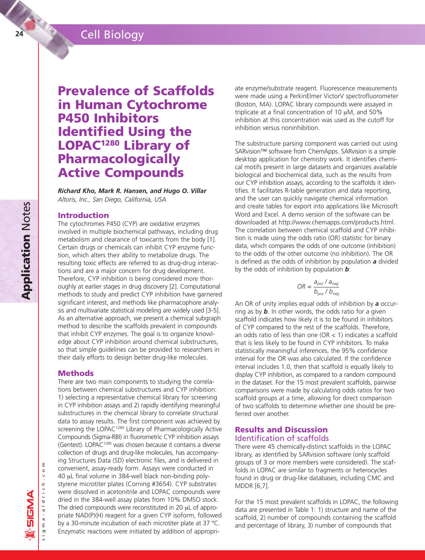# **<sup>24</sup>** Cell Biology

# **Prevalence of Scaffolds in Human Cytochrome P450 Inhibitors Identified Using the LOPAC1280 Library of Pharmacologically Active Compounds**

*Richard Kho, Mark R. Hansen, and Hugo O. Villar Altoris, Inc., San Diego, California, USA* 

## **Introduction**

The cytochromes P450 (CYP) are oxidative enzymes involved in multiple biochemical pathways, including drug metabolism and clearance of toxicants from the body [1]. Certain drugs or chemicals can inhibit CYP enzyme function, which alters their ability to metabolize drugs. The resulting toxic effects are referred to as drug-drug interactions and are a major concern for drug development. Therefore, CYP inhibition is being considered more thoroughly at earlier stages in drug discovery [2]. Computational methods to study and predict CYP inhibition have garnered significant interest, and methods like pharmacophore analysis and multivariate statistical modeling are widely used [3-5]. As an alternative approach, we present a chemical subgraph method to describe the scaffolds prevalent in compounds that inhibit CYP enzymes. The goal is to organize knowledge about CYP inhibition around chemical substructures, so that simple guidelines can be provided to researchers in their daily efforts to design better drug-like molecules.

## **Methods**

There are two main components to studying the correlations between chemical substructures and CYP inhibition: 1) selecting a representative chemical library for screening in CYP inhibition assays and 2) rapidly identifying meaningful substructures in the chemical library to correlate structural data to assay results. The first component was achieved by screening the LOPAC<sup>1280</sup> Library of Pharmacologically Active Compounds (Sigma-RBI) in fluorometric CYP inhibition assays (Gentest). LOPAC1280 was chosen because it contains a diverse collection of drugs and drug-like molecules, has accompanying Structures Data (SD) electronic files, and is delivered in convenient, assay-ready form. Assays were conducted in 40 µL final volume in 384-well black non-binding polystyrene microtiter plates (Corning #3654). CYP substrates were dissolved in acetonitrile and LOPAC compounds were dried in the 384-well assay plates from 10% DMSO stock. The dried compounds were reconstituted in 20 µL of appropriate NAD(P)(H) reagent for a given CYP isoform, followed by a 30-minute incubation of each microtiter plate at 37 ºC. Enzymatic reactions were initiated by addition of appropriate enzyme/substrate reagent. Fluorescence measurements were made using a PerkinElmer VictorV spectrofluorometer (Boston, MA). LOPAC library compounds were assayed in triplicate at a final concentration of 10  $\mu$ M, and 50% inhibition at this concentration was used as the cutoff for inhibition versus noninhibition.

The substructure parsing component was carried out using SARvision™ software from ChemApps. SARvision is a simple desktop application for chemistry work. It identifies chemical motifs present in large datasets and organizes available biological and biochemical data, such as the results from our CYP inhibition assays, according to the scaffolds it identifies. It facilitates R-table generation and data reporting, and the user can quickly navigate chemical information and create tables for export into applications like Microsoft Word and Excel. A demo version of the software can be downloaded at http://www.chemapps.com/products.html. The correlation between chemical scaffold and CYP inhibition is made using the odds ratio (OR) statistic for binary data, which compares the odds of one outcome (inhibition) to the odds of the other outcome (no inhibition). The OR is defined as the odds of inhibition by population *a* divided by the odds of inhibition by population *b*:

$$
OR = \frac{a_{pos} / a_{neg}}{b_{pos} / b_{neg}}
$$

An OR of unity implies equal odds of inhibition by *a* occurring as by *b*. In other words, the odds ratio for *a* given scaffold indicates how likely it is to be found in inhibitors of CYP compared to the rest of the scaffolds. Therefore, an odds ratio of less than one (OR  $<$  1) indicates a scaffold that is less likely to be found in CYP inhibitors. To make statistically meaningful inferences, the 95% confidence interval for the OR was also calculated. If the confidence interval includes 1.0, then that scaffold is equally likely to display CYP inhibition, as compared to a random compound in the dataset. For the 15 most prevalent scaffolds, pairwise comparisons were made by calculating odds ratios for two scaffold groups at a time, allowing for direct comparison of two scaffolds to determine whether one should be preferred over another.

#### **Results and Discussion**  Identification of scaffolds

There were 45 chemically-distinct scaffolds in the LOPAC library, as identified by SARvision software (only scaffold groups of 3 or more members were considered). The scaffolds in LOPAC are similar to fragments or heterocycles found in drug or drug-like databases, including CMC and MDDR [6,7].

For the 15 most prevalent scaffolds in LOPAC, the following data are presented in Table 1: 1) structure and name of the scaffold, 2) number of compounds containing the scaffold and percentage of library, 3) number of compounds that

sigma-aldrich.co i g m a - a l d r i c h . c o m

Ε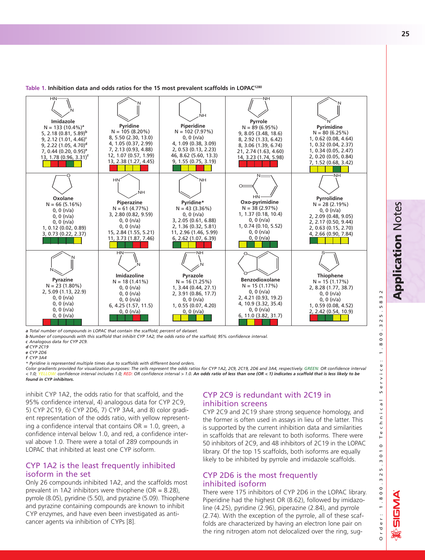

#### **Table 1. Inhibition data and odds ratios for the 15 most prevalent scaffolds in LOPAC1280**

*a Total number of compounds in LOPAC that contain the scaffold; percent of dataset.*

*b Number of compounds with this scaffold that inhibit CYP 1A2; the odds ratio of the scaffold; 95% confidence interval.* 

*\* Pyridine is represented multiple times due to scaffolds with different bond orders.* 

*Color gradients provided for visualization purposes: The cells represent the odds ratios for CYP 1A2, 2C9, 2C19, 2D6 and 3A4, respectively. GREEN: OR confidence interval* < 1.0; YELLOW: confidence interval includes 1.0; RED: OR confidence interval > 1.0. An odds ratio of less than one (OR < 1) indicates a scaffold that is less likely to be *found in CYP inhibitors.*

inhibit CYP 1A2, the odds ratio for that scaffold, and the 95% confidence interval, 4) analogous data for CYP 2C9, 5) CYP 2C19, 6) CYP 2D6, 7) CYP 3A4, and 8) color gradient representation of the odds ratio, with yellow representing a confidence interval that contains  $OR = 1.0$ , green, a confidence interval below 1.0, and red, a confidence interval above 1.0. There were a total of 289 compounds in LOPAC that inhibited at least one CYP isoform.

### CYP 1A2 is the least frequently inhibited isoform in the set

Only 26 compounds inhibited 1A2, and the scaffolds most prevalent in 1A2 inhibitors were thiophene ( $OR = 8.28$ ), pyrrole (8.05), pyridine (5.50), and pyrazine (5.09). Thiophene and pyrazine containing compounds are known to inhibit CYP enzymes, and have even been investigated as anticancer agents via inhibition of CYPs [8].

# CYP 2C9 is redundant with 2C19 in inhibition screens

CYP 2C9 and 2C19 share strong sequence homology, and the former is often used in assays in lieu of the latter. This is supported by the current inhibition data and similarities in scaffolds that are relevant to both isoforms. There were 50 inhibitors of 2C9, and 48 inhibitors of 2C19 in the LOPAC library. Of the top 15 scaffolds, both isoforms are equally likely to be inhibited by pyrrole and imidazole scaffolds.

# CYP 2D6 is the most frequently inhibited isoform

There were 175 inhibitors of CYP 2D6 in the LOPAC library. Piperidine had the highest OR (8.62), followed by imidazoline (4.25), pyridine (2.96), piperazine (2.84), and pyrrole (2.74). With the exception of the pyrrole, all of these scaffolds are characterized by having an electron lone pair on the ring nitrogen atom not delocalized over the ring, sug-

O

rder: 1.800.

**ANSIG** 

r d e r : 1 . 8 0 0 . 3 2 5 . 3 0 1 0 T e c h n i c a l S e r v i c e : 1 . 8 0 0 . 3 2 5 . 5 8 3 2

 $\overline{m}$  $\infty$  $\sqrt{2}$  $\sqrt{2}$  $\sim$  $\omega$  $\overline{\circ}$  $\circ$  $\infty$ ÷  $\pmb{\mathbb{U}}$  $\frac{0}{1}$  $\frac{1}{2}$  $\omega$  $\mathsf{v}$  $\overline{a}$  $\frac{1}{a}$  $\subset$  $\frac{1}{\mathsf{C}}$  $\mathbb{F}$  $\circ$  $\overline{a}$  $\circ$  $\omega$  $\mathsf{L}$  $\sim$  $\omega$ 

ِي

**25**

*c Analogous data for CYP 2C9.*

*d CYP 2C19*

*e CYP 2D6 f CYP 3A4*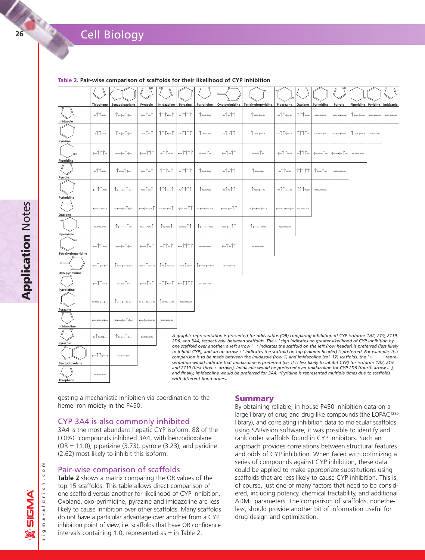# **2** Cell Biology

|                                                                                                                                                                                                                        |                                           | <b>Cell Biology</b>                       |                                           |                                                |                   |                                       |                |                                                                                                                                                                                                                                                                                                                                                                 |                                                    |                                           |                                           |                                           |                       |                                       |                                       |
|------------------------------------------------------------------------------------------------------------------------------------------------------------------------------------------------------------------------|-------------------------------------------|-------------------------------------------|-------------------------------------------|------------------------------------------------|-------------------|---------------------------------------|----------------|-----------------------------------------------------------------------------------------------------------------------------------------------------------------------------------------------------------------------------------------------------------------------------------------------------------------------------------------------------------------|----------------------------------------------------|-------------------------------------------|-------------------------------------------|-------------------------------------------|-----------------------|---------------------------------------|---------------------------------------|
|                                                                                                                                                                                                                        |                                           |                                           |                                           |                                                |                   |                                       |                |                                                                                                                                                                                                                                                                                                                                                                 |                                                    |                                           |                                           |                                           |                       |                                       |                                       |
|                                                                                                                                                                                                                        |                                           |                                           |                                           |                                                |                   |                                       |                | Table 2. Pair-wise comparison of scaffolds for their likelihood of CYP inhibition                                                                                                                                                                                                                                                                               |                                                    |                                           |                                           |                                           |                       |                                       |                                       |
|                                                                                                                                                                                                                        | Thiophene                                 | Benzodioxolane                            | Pyrazole                                  | Imidazoline                                    | Pyrazine          | Pyrrolidine                           | Oxo-pyrimidine | Tetrahydropyridine                                                                                                                                                                                                                                                                                                                                              | Piperazine                                         | Oxolane                                   | Pyrimidine                                | Pyrrole                                   | Piperidine   Pyridine |                                       | Imidazole                             |
| midazolo                                                                                                                                                                                                               | ≈11≈≈                                     | ↑≈←↑←                                     | ≈≈↑≈↑                                     | $\uparrow \uparrow \uparrow \uparrow \uparrow$ | $=$ 1111          | ↑≈≈≈≈                                 | ≈↑≈↑↑          | ↑≈≈←≈                                                                                                                                                                                                                                                                                                                                                           | ≈ी1̂←≈                                             | ↑↑↑≈≈                                     | $\approx \approx \approx \approx \approx$ | ≈≈≈←≈                                     | T≈≈←≈                 |                                       | $\approx\approx\approx\approx\approx$ |
| Pyridine                                                                                                                                                                                                               | ≈ी1ै≈≈                                    | ↑≈←↑←                                     | ≈≈ी≈ी                                     | $\uparrow \uparrow \uparrow \uparrow \uparrow$ | $=$ 1111          | ↑≈≈≈≈                                 | ≈1≈11          | ↑≈≈←≈                                                                                                                                                                                                                                                                                                                                                           | ≈ी1ै←≈                                             | ↑↑↑↑≈                                     | $\approx \approx \approx \approx \approx$ | ≈≈≈←≈                                     | ↑≈≈←≈                 | $\approx\approx\approx\approx\approx$ |                                       |
| Piperidine                                                                                                                                                                                                             | ←↑↑↑≈                                     | ≈≈←↑←                                     | ←≈↑↑↑                                     | ≈↑↑≈≈                                          | $\uparrow$ 1111   | ≈≈≈ी≈                                 | ←ੀ≈ੀੀ          | ≈≈≈ी≈                                                                                                                                                                                                                                                                                                                                                           | ←ਿੰਿ≈                                              | ≈↑↑↑≈                                     | ←≈≈↑≈                                     | ←≈←↑≈                                     | $rac{1}{2}$           |                                       |                                       |
| <b>Pyrrole</b>                                                                                                                                                                                                         | ≈11≈≈                                     | ↑≈≈↑←                                     | ≈≈ी≈ी                                     | $\uparrow \uparrow \uparrow \approx \uparrow$  | $=$ 1111          | ↑≈≈≈≈                                 | ≈↑≈↑↑          | ↑≈≈≈≈                                                                                                                                                                                                                                                                                                                                                           | ≈ि ି≈≈                                             | 11111                                     | ใ≈≈ใ≈                                     | $\approx \approx \approx \approx \approx$ |                       |                                       |                                       |
| Pyrimidine                                                                                                                                                                                                             | ←ਿਿ≈≈                                     | ↑←←↑←                                     | ≈≈↑≈↑                                     | ↑↑↑←↑                                          | $=$ 1111          | ↑≈≈≈≈                                 | ≈1≈11          | ∣≈≈←≈                                                                                                                                                                                                                                                                                                                                                           | ≈ी1ै⇔≈                                             | ↑↑↑≈≈                                     | $\approx\approx\approx\approx\approx$     |                                           |                       |                                       |                                       |
| Oxolane                                                                                                                                                                                                                | $\xleftarrow{\approx}$                    | ≈←←↑←                                     | ←←≈≈↑                                     | ≈≈≈←↑                                          | ←≈≈ीी             | ≈←←≈≈                                 | ←≈←↑↑          | $\approx\leftarrow\leftarrow\leftarrow\approx$                                                                                                                                                                                                                                                                                                                  | $\leftarrow \approx \approx \leftarrow \leftarrow$ | $\approx \approx \approx \approx \approx$ |                                           |                                           |                       |                                       |                                       |
| Piperazine                                                                                                                                                                                                             | $\approx \approx \approx \approx \approx$ | ↑←←↑≈                                     | ≈←≈≈↑                                     | ↑≈≈≈↑                                          | ≈≈≈↑↑             | ↑←←≈≈                                 | ≈≈←↑↑          | ↑←←≈≈                                                                                                                                                                                                                                                                                                                                                           |                                                    |                                           |                                           |                                           |                       |                                       |                                       |
| Tetrahydropyridine                                                                                                                                                                                                     | ←ਿੰਿ≈                                     | ≈≈←↑←                                     | ←≈↑≈↑                                     | ≈ी1ิ≈1ิ                                        | $\leftarrow$ 1111 | $\approx\approx\approx\approx\approx$ | ←↑≈↑↑          | $\approx\approx\approx\approx\approx$                                                                                                                                                                                                                                                                                                                           |                                                    |                                           |                                           |                                           |                       |                                       |                                       |
| $o =$<br>Oxo-pyrimidine                                                                                                                                                                                                | ≈≈↑←←                                     | ↑←←≈←                                     | ≈←↑←≈                                     | ↑≈↑←≈                                          | ≈≈ी≈≈             | ↑←≈←←                                 | $- - - - - -$  |                                                                                                                                                                                                                                                                                                                                                                 |                                                    |                                           |                                           |                                           |                       |                                       |                                       |
| Pyrrolidine                                                                                                                                                                                                            | ←ਿੰਿ≈                                     | ≈≈≈ी≈                                     | ←≈าิ≈าิ                                   | ≈↑↑←↑                                          | $\leftarrow$ 1111 | $\approx\approx\approx\approx\approx$ |                |                                                                                                                                                                                                                                                                                                                                                                 |                                                    |                                           |                                           |                                           |                       |                                       |                                       |
| Pyrazine                                                                                                                                                                                                               | ≈≈≈←←                                     | T←←≈←                                     | ≈←≈←≈                                     | ⊺≈≈←≈                                          |                   |                                       |                |                                                                                                                                                                                                                                                                                                                                                                 |                                                    |                                           |                                           |                                           |                       |                                       |                                       |
| Imidazoline                                                                                                                                                                                                            |                                           | ≈←←Î←                                     |                                           | $\approx \approx \approx$                      |                   |                                       |                |                                                                                                                                                                                                                                                                                                                                                                 |                                                    |                                           |                                           |                                           |                       |                                       |                                       |
| Pyrazole                                                                                                                                                                                                               | ≈↑≈≈←                                     | ↑≈←↑←                                     | $\approx \approx \approx \approx \approx$ |                                                |                   |                                       |                | A graphic representation is presented for odds ratios (OR) comparing inhibition of CYP isoforms 1A2, 2C9, 2C19,<br>2D6, and 3A4, respectively, between scaffolds. The '-' sign indicates no greater likelihood of CYP inhibition by<br>one scaffold over another, a left arrow '- ' indicates the scaffold on the left (row header) is preferred (less likely   |                                                    |                                           |                                           |                                           |                       |                                       |                                       |
| Benzodioxolane                                                                                                                                                                                                         | ←ಿि                                       | $\approx \approx \approx \approx \approx$ |                                           |                                                |                   |                                       |                | to inhibit CYP), and an up arrow 's ' indicates the scaffold on top (column header) is preferred. For example, if a<br>comparison is to be made between the imidazole (row 1) and imidazoline (col. 12) scaffolds, the $m_{\text{eff}}$<br>sentation would indicate that imidazoline is preferred (i.e. it is less likely to inhibit CYP) for isoforms 1A2, 2C9 |                                                    |                                           |                                           |                                           |                       |                                       | ' repre-                              |
| <b>Thiophene</b>                                                                                                                                                                                                       | $\approx \approx \approx \approx \approx$ |                                           |                                           |                                                |                   | with different bond orders.           |                | and 2C19 (first three $\pm$ arrows). Imidazole would be preferred over imidazoline for CYP 2D6 (fourth arrow $\overline{\phantom{a}}$ ),<br>and finally, imidazoline would be preferred for 3A4. *Pyridine is represented multiple times due to scaffolds                                                                                                       |                                                    |                                           |                                           |                                           |                       |                                       |                                       |
| gesting a mechanistic inhibition via coordination to the<br>heme iron moiety in the P450.                                                                                                                              |                                           |                                           |                                           |                                                |                   |                                       |                | <b>Summary</b><br>By obtaining reliable, in-house P450 inhibition data on a                                                                                                                                                                                                                                                                                     |                                                    |                                           |                                           |                                           |                       |                                       |                                       |
| CYP 3A4 is also commonly inhibited<br>3A4 is the most abundant hepatic CYP isoform. 88 of the<br>LOPAC compounds inhibited 3A4, with benzodioxolane<br>$(OR = 11.0)$ pinerizine $(3.73)$ pyrrole $(3.23)$ and pyridine |                                           |                                           |                                           |                                                |                   |                                       |                | large library of drug and drug-like compounds (the LOPAC <sup>1280</sup><br>library), and correlating inhibition data to molecular scaffolds<br>using SARvision software, it was possible to identify and<br>rank order scaffolds found in CYP inhibitors. Such an<br>annroach provides correlations between structural features                                |                                                    |                                           |                                           |                                           |                       |                                       |                                       |

#### **Table 2. Pair-wise comparison of scaffolds for their likelihood of CYP inhibition**

### CYP 3A4 is also commonly inhibited

3A4 is the most abundant hepatic CYP isoform. 88 of the LOPAC compounds inhibited 3A4, with benzodioxolane  $(OR = 11.0)$ , piperizine  $(3.73)$ , pyrrole  $(3.23)$ , and pyridine (2.62) most likely to inhibit this isoform.

### Pair-wise comparison of scaffolds

**Table 2** shows a matrix comparing the OR values of the top 15 scaffolds. This table allows direct comparison of one scaffold versus another for likelihood of CYP inhibition. Oxolane, oxo-pyrimidine, pyrazine and imidazoline are less likely to cause inhibition over other scaffolds. Many scaffolds do not have a particular advantage over another from a CYP inhibition point of view, i.e. scaffolds that have OR confidence intervals containing 1.0, represented as  $=$  in Table 2.

### **Summary**

By obtaining reliable, in-house P450 inhibition data on a large library of drug and drug-like compounds (the LOPAC<sup>1280</sup> library), and correlating inhibition data to molecular scaffolds using SARvision software, it was possible to identify and rank order scaffolds found in CYP inhibitors. Such an approach provides correlations between structural features and odds of CYP inhibition. When faced with optimizing a series of compounds against CYP inhibition, these data could be applied to make appropriate substitutions using scaffolds that are less likely to cause CYP inhibition. This is, of course, just one of many factors that need to be considered, including potency, chemical tractability, and additional ADME parameters. The comparison of scaffolds, nonetheless, should provide another bit of information useful for drug design and optimization.

sigma-aldrich.co i g m a - a l d r i c h . c o m

ε